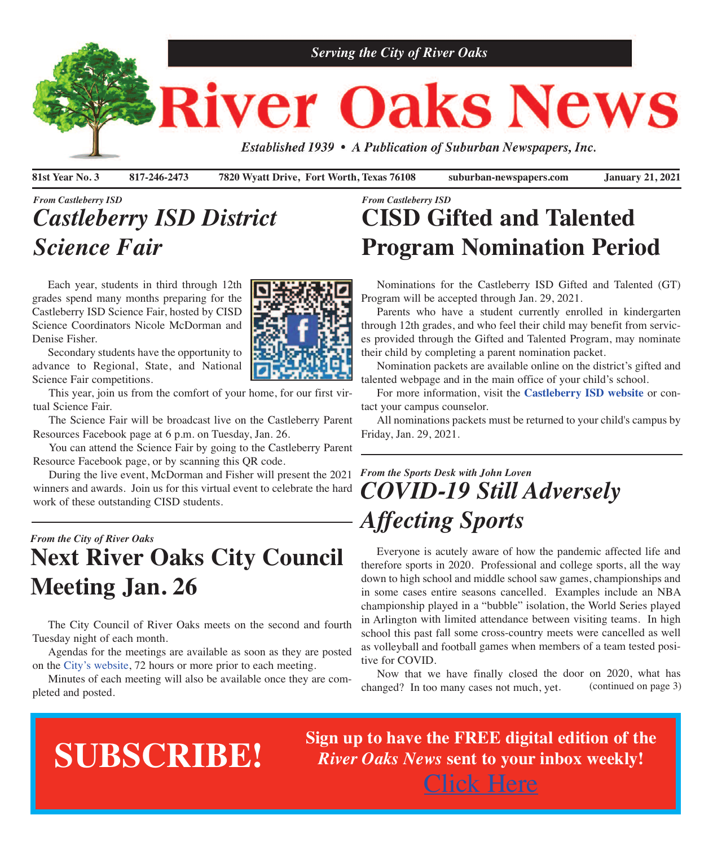

**81st Year No. 3 817-246-2473 7820 Wyatt Drive, Fort Worth, Texas 76108 suburban-newspapers.com January 21, 2021**

## *From Castleberry ISD Castleberry ISD District Science Fair*

 Each year, students in third through 12th grades spend many months preparing for the Castleberry ISD Science Fair, hosted by CISD Science Coordinators Nicole McDorman and Denise Fisher.

 Secondary students have the opportunity to advance to Regional, State, and National Science Fair competitions.

 This year, join us from the comfort of your home, for our first virtual Science Fair.

 The Science Fair will be broadcast live on the Castleberry Parent Resources Facebook page at 6 p.m. on Tuesday, Jan. 26.

 You can attend the Science Fair by going to the Castleberry Parent Resource Facebook page, or by scanning this QR code.

 During the live event, McDorman and Fisher will present the 2021 winners and awards. Join us for this virtual event to celebrate the hard work of these outstanding CISD students.

## *From the City of River Oaks* **Next River Oaks City Council Meeting Jan. 26**

 The City Council of River Oaks meets on the second and fourth Tuesday night of each month.

 Agendas for the meetings are available as soon as they are posted on the City's [website,](http://www.riveroakstx.com) 72 hours or more prior to each meeting.

 Minutes of each meeting will also be available once they are completed and posted.



## *From Castleberry ISD* **CISD Gifted and Talented Program Nomination Period**

 Nominations for the Castleberry ISD Gifted and Talented (GT) Program will be accepted through Jan. 29, 2021.

 Parents who have a student currently enrolled in kindergarten through 12th grades, and who feel their child may benefit from services provided through the Gifted and Talented Program, may nominate their child by completing a parent nomination packet.

 Nomination packets are available online on the district's gifted and talented webpage and in the main office of your child's school.

 For more information, visit the **[Castleberry](http://www.castleberryisd.net/?fbclid=IwAR0_JPYcYq_C35kfwbL4eSedElSAhKlPOHdoHbsGZNfO9ddHEvxNRVX7HOE) ISD website** or contact your campus counselor.

 All nominations packets must be returned to your child's campus by Friday, Jan. 29, 2021.

## *From the Sports Desk with John Loven COVID-19 Still Adversely Affecting Sports*

Everyone is acutely aware of how the pandemic affected life and therefore sports in 2020. Professional and college sports, all the way down to high school and middle school saw games, championships and in some cases entire seasons cancelled. Examples include an NBA championship played in <sup>a</sup> "bubble" isolation, the World Series played in Arlington with limited attendance between visiting teams. In high school this pas<sup>t</sup> fall some cross-country meets were cancelled as well as volleyball and football games when members of <sup>a</sup> team tested positive for COVID.

Now that we have finally closed the door on 2020, what has changed? In too many cases not much, yet. (continued on page 3)

## **SUBSCRIBE!**

**Sign up to have the FREE digital edition of the** *River Oaks News* **sent to your inbox weekly!** [Click](http://eepurl.com/g3m8OX) Here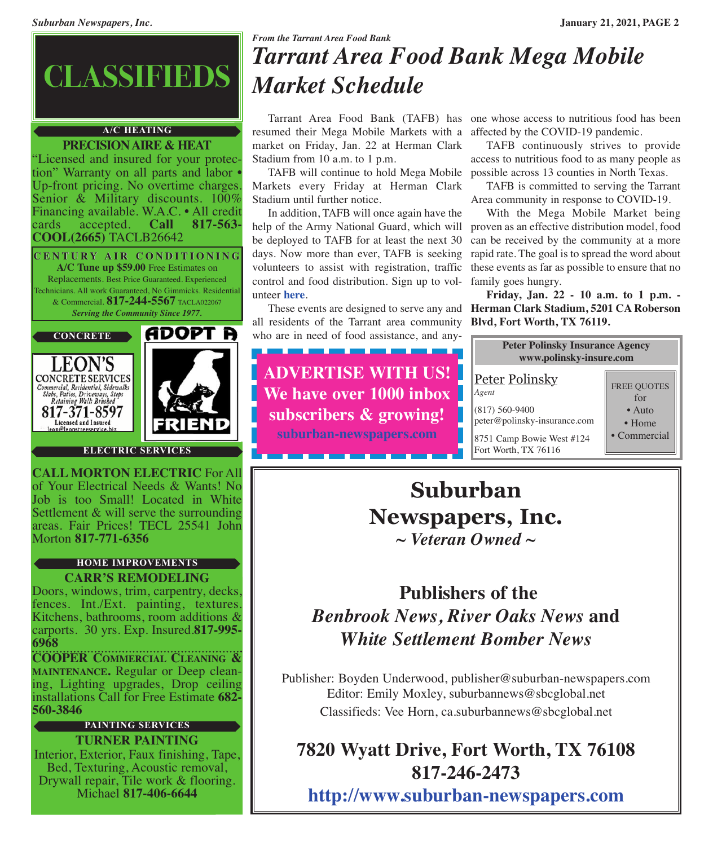

#### **A/C HEATING**

**PRECISIONAIRE & HEAT** "Licensed and insured for your protection" Warranty on all parts and labor • Up-front pricing. No overtime charges.<br>Senior & Military discounts. 100% Financing available. W.A.C. • All credit cards accepted. **Call 817-563**cards accepted. **Call 817-563- COOL(2665)** TACLB26642

**C E N T U R Y A I R C O N D I T I O N I N G A/C Tune up \$59.00** Free Estimates on Replacements. Best Price Guaranteed. Experienced Technicians. All work Guaranteed, No Gimmicks. Residential & Commercial. **817-244-5567** TACLA022067 *Serving the Community Since 1977.*







#### **ELECTRIC SERVICES**

**CALL MORTON ELECTRIC** For All of Your Electrical Needs & Wants! No Job is too Small! Located in White Settlement & will serve the surrounding areas. Fair Prices! TECL 25541 John Morton **817-771-6356**

#### **HOME IMPROVEMENTS**

#### **CARR'S REMODELING**

Doors, windows, trim, carpentry, decks, fences. Int./Ext. painting, textures. Kitchens, bathrooms, room additions & carports. 30 yrs. Exp. Insured.**817-995- 6968**

**COOPER COMMERCIAL CLEANING & MAINTENANCE.** Regular or Deep cleaning, Lighting upgrades, Drop ceiling installations Call for Free Estimate **682- 560-3846**

#### **PAINTING SERVICES**

**TURNER PAINTING** Interior, Exterior, Faux finishing, Tape, Bed, Texturing, Acoustic removal, Drywall repair, Tile work & flooring. Michael **817-406-6644**

## *From the Tarrant Area Food Bank Tarrant Area Food Bank Mega Mobile Market Schedule*

 Tarrant Area Food Bank (TAFB) has one whose access to nutritious food has been resumed their Mega Mobile Markets with a affected by the COVID-19 pandemic. market on Friday, Jan. 22 at Herman Clark Stadium from 10 a.m. to 1 p.m.

 TAFB will continue to hold Mega Mobile possible across 13 counties in North Texas. Markets every Friday at Herman Clark Stadium until further notice.

 In addition, TAFB will once again have the help of the Army National Guard, which will be deployed to TAFB for at least the next 30 days. Now more than ever, TAFB is seeking volunteers to assist with registration, traffic these events as far as possible to ensure that no control and food distribution. Sign up to volunteer **[here](https://tafb.galaxydigital.com)**.

all residents of the Tarrant area community who are in need of food assistance, and any-

------

**ADVERTISE WITH US! We have over 1000 inbox subscribers & growing! [suburban-newspapers.com](www.suburban-newspapers.com)**

 TAFB continuously strives to provide access to nutritious food to as many people as

 TAFB is committed to serving the Tarrant Area community in response to COVID-19.

 With the Mega Mobile Market being proven as an effective distribution model, food can be received by the community at a more rapid rate. The goal is to spread the word about family goes hungry.

 These events are designed to serve any and **Herman Clark Stadium, 5201 CA Roberson Friday, Jan. 22 - 10 a.m. to 1 p.m. - Blvd, Fort Worth, TX 76119.**



## **Suburban Newspapers, Inc.** *~ Veteran Owned ~*

## **Publishers of the** *Benbrook News, River Oaks News* **and** *White Settlement Bomber News*

Publisher: Boyden Underwood, publisher@suburban-newspapers.com Editor: Emily Moxley, suburbannews@sbcglobal.net Classifieds: Vee Horn, ca.suburbannews@sbcglobal.net

## **7820 Wyatt Drive, Fort Worth, TX 76108 817-246-2473**

**<http://www.suburban-newspapers.com>**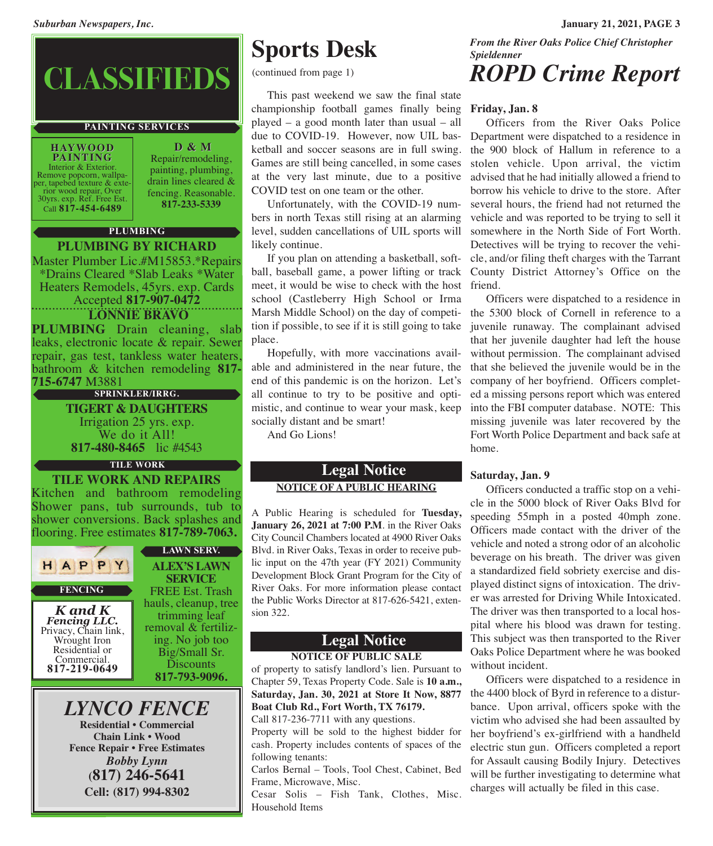# **CLASSIFIEDS**

#### **PAINTING SERVICES**

**HAYWOOD PAINTING** Interior & Exterior.<br>Remove popcorn, wallpa-<br>per, tapebed texture & exte-

First wood repair, Over<br>30yrs. exp. Ref. Free Est. Call **817-454-6489** Repair/remodeling, painting, plumbing, drain lines cleared & fencing. Reasonable. **817-233-5339**

**D & M**

#### **PLUMBING**

#### **PLUMBING BY RICHARD**

Master Plumber Lic.#M15853.\*Repairs \*Drains Cleared \*Slab Leaks \*Water Heaters Remodels, 45yrs. exp. Cards Accepted **817-907-0472**

**LONNIE BRAVO**

**PLUMBING** Drain cleaning, slab leaks, electronic locate & repair. Sewer repair, gas test, tankless water heaters, bathroom & kitchen remodeling **817- 715-6747** M3881

**SPRINKLER/IRRG.**

**TIGERT & DAUGHTERS** Irrigation <sup>25</sup> yrs. exp. We do it All! **817-480-8465** lic #4543

#### **TILE WORK**

**TILE WORK AND REPAIRS** Kitchen and bathroom remodeling Shower pans, tub surrounds, tub to shower conversions. Back splashes and flooring. Free estimates **817-789-7063.**



**Fencing LLC.**<br>Privacy, Chain link, Wrought Iron Residential or<br>Commercial. Commercial. **817-219-0649**

**ALEX'S LAWN SERVICE** FREE Est. Trash hauls, cleanup, tree trimming leaf removal & fertiliz- ing. No job too Big/Small Sr. Discounts

**817-793-9096.**

#### *LYNCO FENCE* **Residential • Commercial**

**Chain Link • Wood Fence Repair • Free Estimates** *Bobby Lynn* **(817) 246-5641 Cell: (817) 994-8302**

## **Sports Desk**

(continued from page 1)

 This past weekend we saw the final state championship football games finally being **Friday, Jan. 8** played – a good month later than usual – all due to COVID-19. However, now UIL basketball and soccer seasons are in full swing. Games are still being cancelled, in some cases at the very last minute, due to a positive COVID test on one team or the other.

 Unfortunately, with the COVID-19 numbers in north Texas still rising at an alarming level, sudden cancellations of UIL sports will likely continue.

 If you plan on attending a basketball, softball, baseball game, a power lifting or track County District Attorney's Office on the meet, it would be wise to check with the host school (Castleberry High School or Irma Marsh Middle School) on the day of competition if possible, to see if it is still going to take place.

 Hopefully, with more vaccinations available and administered in the near future, the end of this pandemic is on the horizon. Let's all continue to try to be positive and optimistic, and continue to wear your mask, keep socially distant and be smart!

And Go Lions!

#### **Legal Notice NOTICE OF A PUBLIC HEARING**

A Public Hearing is scheduled for **Tuesday, January 26, 2021 at 7:00 P.M**. in the River Oaks City Council Chambers located at 4900 River Oaks Blvd. in River Oaks, Texas in order to receive public input on the 47th year (FY 2021) Community Development Block Grant Program for the City of River Oaks. For more information please contact the Public Works Director at 817-626-5421, extension 322.

#### **Legal Notice NOTICE OF PUBLIC SALE**

of property to satisfy landlord's lien. Pursuant to Chapter 59, Texas Property Code. Sale is **10 a.m., Saturday, Jan. 30, 2021 at Store It Now, 8877 Boat Club Rd., Fort Worth, TX 76179.** Call 817-236-7711 with any questions.

Property will be sold to the highest bidder for cash. Property includes contents of spaces of the following tenants:

Carlos Bernal – Tools, Tool Chest, Cabinet, Bed Frame, Microwave, Misc.

Cesar Solis – Fish Tank, Clothes, Misc. Household Items

*From the River Oaks Police Chief Christopher Spieldenner*

## *ROPD Crime Report*

 Officers from the River Oaks Police Department were dispatched to a residence in the 900 block of Hallum in reference to a stolen vehicle. Upon arrival, the victim advised that he had initially allowed a friend to borrow his vehicle to drive to the store. After several hours, the friend had not returned the vehicle and was reported to be trying to sell it somewhere in the North Side of Fort Worth. Detectives will be trying to recover the vehicle, and/or filing theft charges with the Tarrant friend.

 Officers were dispatched to a residence in the 5300 block of Cornell in reference to a juvenile runaway. The complainant advised that her juvenile daughter had left the house without permission. The complainant advised that she believed the juvenile would be in the company of her boyfriend. Officers completed a missing persons report which was entered into the FBI computer database. NOTE: This missing juvenile was later recovered by the Fort Worth Police Department and back safe at home.

#### **Saturday, Jan. 9**

 Officers conducted a traffic stop on a vehicle in the 5000 block of River Oaks Blvd for speeding 55mph in a posted 40mph zone. Officers made contact with the driver of the vehicle and noted a strong odor of an alcoholic beverage on his breath. The driver was given a standardized field sobriety exercise and displayed distinct signs of intoxication. The driver was arrested for Driving While Intoxicated. The driver was then transported to a local hospital where his blood was drawn for testing. This subject was then transported to the River Oaks Police Department where he was booked without incident.

 Officers were dispatched to a residence in the 4400 block of Byrd in reference to a disturbance. Upon arrival, officers spoke with the victim who advised she had been assaulted by her boyfriend's ex-girlfriend with a handheld electric stun gun. Officers completed a report for Assault causing Bodily Injury. Detectives will be further investigating to determine what charges will actually be filed in this case.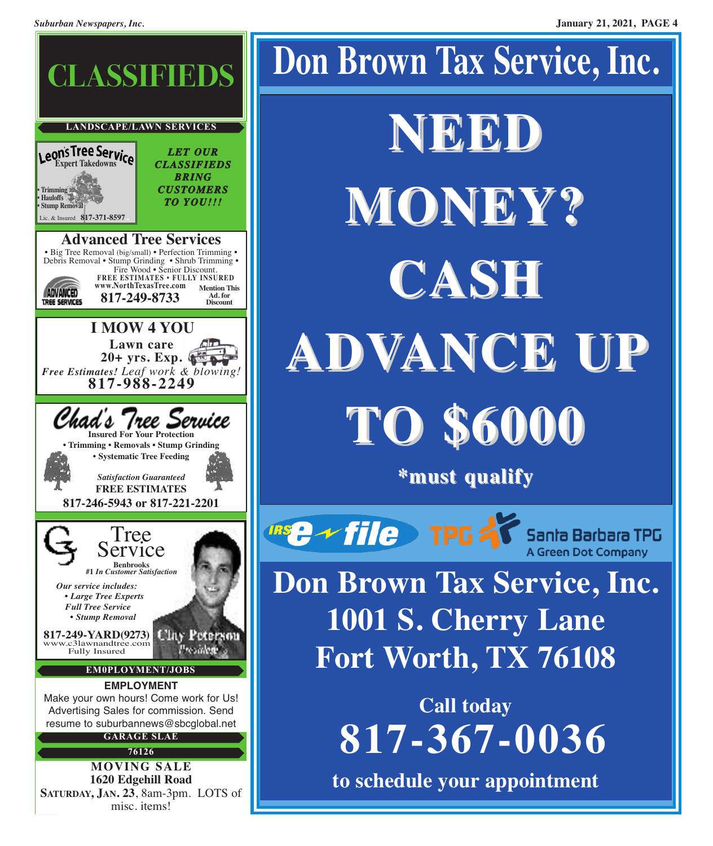

# **Don Brown Tax Service, Inc. NEED MONEY? CASH ADVANCE UP TO \$6000 \*must qualify Insert of Telecommunity** Santa Barbara TPG

**Don Brown Tax Service, Inc. 1001 S. Cherry Lane Fort Worth, TX 76108**

**A Green Dot Company** 

**Call today 817-367-0036**

**to schedule your appointment**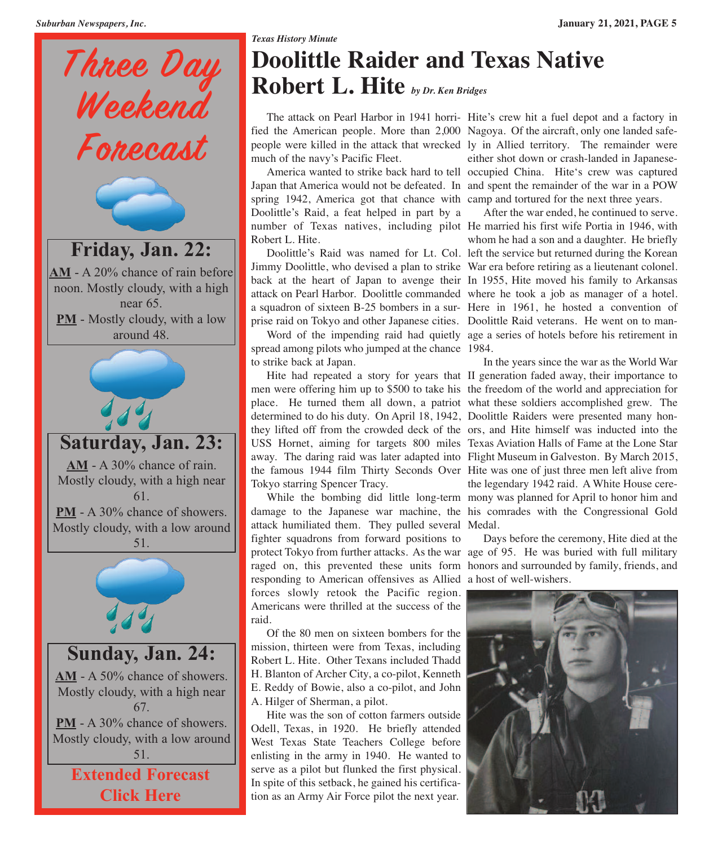

## *Texas History Minute* **Doolittle Raider and Texas Native Robert L. Hite** *by Dr. Ken Bridges*

 The attack on Pearl Harbor in 1941 horri-Hite's crew hit a fuel depot and a factory in fied the American people. More than 2,000 Nagoya. Of the aircraft, only one landed safepeople were killed in the attack that wrecked ly in Allied territory. The remainder were much of the navy's Pacific Fleet.

 America wanted to strike back hard to tell occupied China. Hite's crew was captured Japan that America would not be defeated. In and spent the remainder of the war in a POW spring 1942, America got that chance with camp and tortured for the next three years. Doolittle's Raid, a feat helped in part by a number of Texas natives, including pilot He married his first wife Portia in 1946, with Robert L. Hite.

 Doolittle's Raid was named for Lt. Col. left the service but returned during the Korean Jimmy Doolittle, who devised a plan to strike War era before retiring as a lieutenant colonel. back at the heart of Japan to avenge their In 1955, Hite moved his family to Arkansas attack on Pearl Harbor. Doolittle commanded where he took a job as manager of a hotel. a squadron of sixteen B-25 bombers in a sur-Here in 1961, he hosted a convention of prise raid on Tokyo and other Japanese cities. Doolittle Raid veterans. He went on to man-

 Word of the impending raid had quietly age a series of hotels before his retirement in spread among pilots who jumped at the chance 1984. to strike back at Japan.

Hite had repeated a story for years that II generation faded away, their importance to men were offering him up to \$500 to take his the freedom of the world and appreciation for place. He turned them all down, a patriot what these soldiers accomplished grew. The determined to do his duty. On April 18, 1942, Doolittle Raiders were presented many honthey lifted off from the crowded deck of the ors, and Hite himself was inducted into the USS Hornet, aiming for targets 800 miles Texas Aviation Halls of Fame at the Lone Star away. The daring raid was later adapted into Flight Museum in Galveston. By March 2015, the famous 1944 film Thirty Seconds Over Hite was one of just three men left alive from Tokyo starring Spencer Tracy.

 While the bombing did little long-term mony was planned for April to honor him and damage to the Japanese war machine, the his comrades with the Congressional Gold attack humiliated them. They pulled several Medal. fighter squadrons from forward positions to protect Tokyo from further attacks. As the war age of 95. He was buried with full military raged on, this prevented these units form honors and surrounded by family, friends, and responding to American offensives as Allied a host of well-wishers. forces slowly retook the Pacific region. Americans were thrilled at the success of the raid.

 Of the 80 men on sixteen bombers for the mission, thirteen were from Texas, including Robert L. Hite. Other Texans included Thadd H. Blanton of Archer City, a co-pilot, Kenneth E. Reddy of Bowie, also a co-pilot, and John A. Hilger of Sherman, a pilot.

 Hite was the son of cotton farmers outside Odell, Texas, in 1920. He briefly attended West Texas State Teachers College before enlisting in the army in 1940. He wanted to serve as a pilot but flunked the first physical. In spite of this setback, he gained his certification as an Army Air Force pilot the next year.

either shot down or crash-landed in Japanese-

 After the war ended, he continued to serve. whom he had a son and a daughter. He briefly

 In the years since the war as the World War the legendary 1942 raid. A White House cere-

Days before the ceremony, Hite died at the